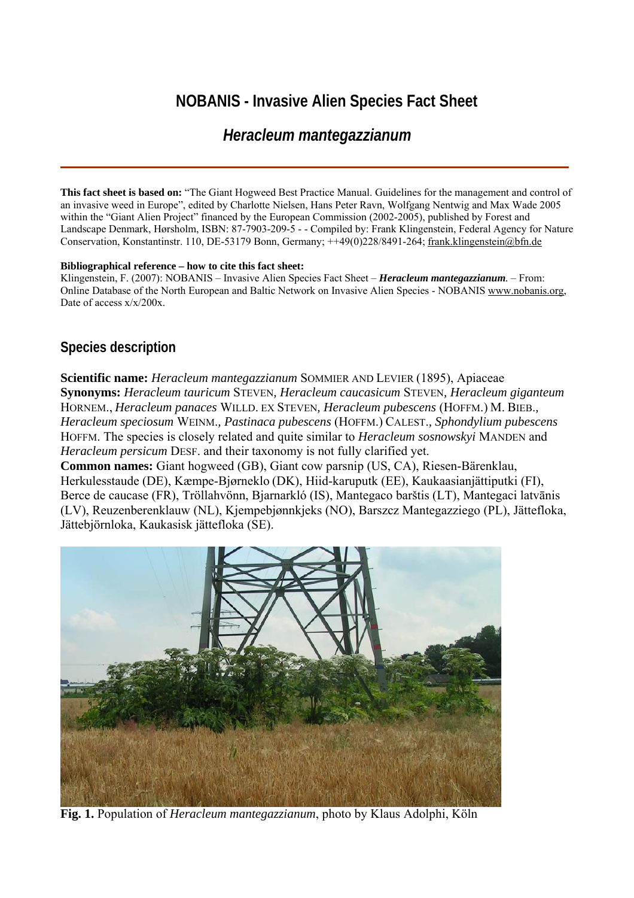# **NOBANIS - Invasive Alien Species Fact Sheet**

# *Heracleum mantegazzianum*

**This fact sheet is based on:** "The Giant Hogweed Best Practice Manual. Guidelines for the management and control of an invasive weed in Europe", edited by Charlotte Nielsen, Hans Peter Ravn, Wolfgang Nentwig and Max Wade 2005 within the "Giant Alien Project" financed by the European Commission (2002-2005), published by Forest and Landscape Denmark, Hørsholm, ISBN: 87-7903-209-5 - - Compiled by: Frank Klingenstein, Federal Agency for Nature Conservation, Konstantinstr. 110, DE-53179 Bonn, Germany; ++49(0)228/8491-264; [frank.klingenstein@bfn.de](mailto:frank.klingenstein@bfn.de)

#### **Bibliographical reference – how to cite this fact sheet:**

Klingenstein, F. (2007): NOBANIS – Invasive Alien Species Fact Sheet – *Heracleum mantegazzianum.* – From: Online Database of the North European and Baltic Network on Invasive Alien Species - NOBANIS [www.nobanis.org](http://www.nobanis.org/), Date of access  $x/x/200x$ .

## **Species description**

**Scientific name:** *Heracleum mantegazzianum* SOMMIER AND LEVIER (1895), Apiaceae **Synonyms:** *Heracleum tauricum* STEVEN*, Heracleum caucasicum* STEVEN*, Heracleum giganteum*  HORNEM., *Heracleum panaces* WILLD. EX STEVEN*, Heracleum pubescens* (HOFFM.) M. BIEB.*, Heracleum speciosum* WEINM.*, Pastinaca pubescens* (HOFFM.) CALEST.*, Sphondylium pubescens*  HOFFM. The species is closely related and quite similar to *Heracleum sosnowskyi* MANDEN and *Heracleum persicum* DESF. and their taxonomy is not fully clarified yet.

**Common names:** Giant hogweed (GB), Giant cow parsnip (US, CA), Riesen-Bärenklau, Herkulesstaude (DE), Kæmpe-Bjørneklo (DK), Hiid-karuputk (EE), Kaukaasianjättiputki (FI), Berce de caucase (FR), Tröllahvönn, Bjarnarkló (IS), Mantegaco barštis (LT), Mantegaci latvānis (LV), Reuzenberenklauw (NL), Kjempebjønnkjeks (NO), Barszcz Mantegazziego (PL), Jättefloka, Jättebjörnloka, Kaukasisk jättefloka (SE).



**Fig. 1.** Population of *Heracleum mantegazzianum*, photo by Klaus Adolphi, Köln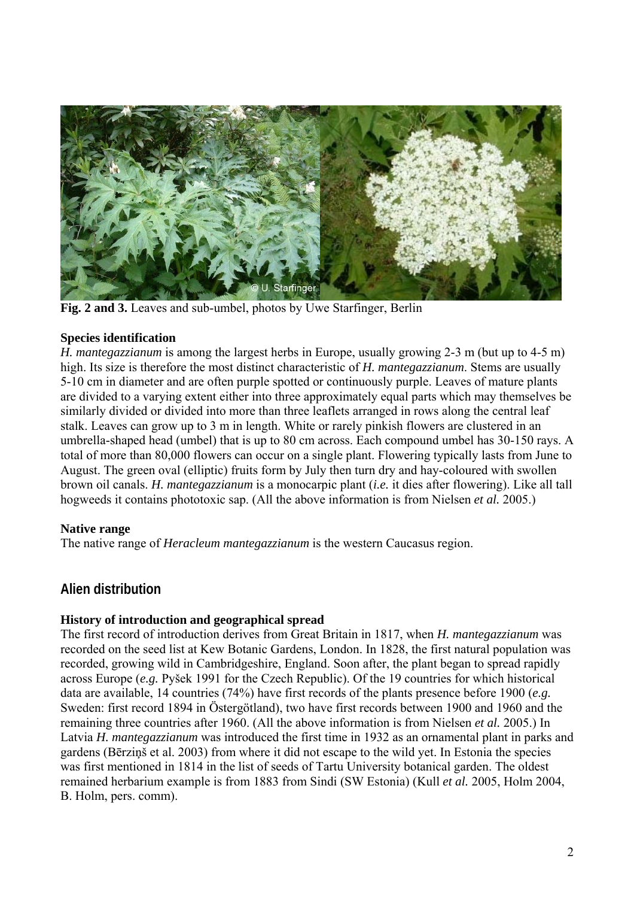

**Fig. 2 and 3.** Leaves and sub-umbel, photos by Uwe Starfinger, Berlin

### **Species identification**

*H. mantegazzianum* is among the largest herbs in Europe, usually growing 2-3 m (but up to 4-5 m) high. Its size is therefore the most distinct characteristic of *H. mantegazzianum*. Stems are usually 5-10 cm in diameter and are often purple spotted or continuously purple. Leaves of mature plants are divided to a varying extent either into three approximately equal parts which may themselves be similarly divided or divided into more than three leaflets arranged in rows along the central leaf stalk. Leaves can grow up to 3 m in length. White or rarely pinkish flowers are clustered in an umbrella-shaped head (umbel) that is up to 80 cm across. Each compound umbel has 30-150 rays. A total of more than 80,000 flowers can occur on a single plant. Flowering typically lasts from June to August. The green oval (elliptic) fruits form by July then turn dry and hay-coloured with swollen brown oil canals. *H. mantegazzianum* is a monocarpic plant (*i.e.* it dies after flowering). Like all tall hogweeds it contains phototoxic sap. (All the above information is from Nielsen *et al.* 2005.)

## **Native range**

The native range of *Heracleum mantegazzianum* is the western Caucasus region.

# **Alien distribution**

## **History of introduction and geographical spread**

The first record of introduction derives from Great Britain in 1817, when *H. mantegazzianum* was recorded on the seed list at Kew Botanic Gardens, London. In 1828, the first natural population was recorded, growing wild in Cambridgeshire, England. Soon after, the plant began to spread rapidly across Europe (*e.g.* Pyšek 1991 for the Czech Republic). Of the 19 countries for which historical data are available, 14 countries (74%) have first records of the plants presence before 1900 (*e.g.* Sweden: first record 1894 in Östergötland), two have first records between 1900 and 1960 and the remaining three countries after 1960. (All the above information is from Nielsen *et al.* 2005.) In Latvia *H. mantegazzianum* was introduced the first time in 1932 as an ornamental plant in parks and gardens (Bērziņš et al. 2003) from where it did not escape to the wild yet. In Estonia the species was first mentioned in 1814 in the list of seeds of Tartu University botanical garden. The oldest remained herbarium example is from 1883 from Sindi (SW Estonia) (Kull *et al.* 2005, Holm 2004, B. Holm, pers. comm).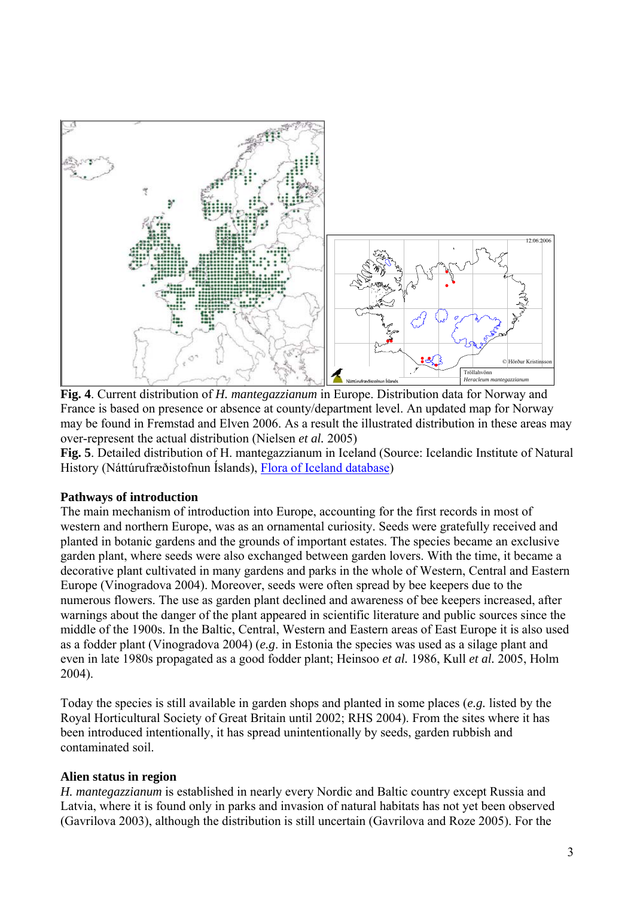

**Fig. 4**. Current distribution of *H. mantegazzianum* in Europe. Distribution data for Norway and France is based on presence or absence at county/department level. An updated map for Norway may be found in Fremstad and Elven 2006. As a result the illustrated distribution in these areas may over-represent the actual distribution (Nielsen *et al.* 2005)

**Fig. 5**. Detailed distribution of H. mantegazzianum in Iceland (Source: Icelandic Institute of Natural History (Náttúrufræðistofnun Íslands), [Flora of Iceland database\)](http://vefsja.ni.is/website/plontuvefsja/)

#### **Pathways of introduction**

The main mechanism of introduction into Europe, accounting for the first records in most of western and northern Europe, was as an ornamental curiosity. Seeds were gratefully received and planted in botanic gardens and the grounds of important estates. The species became an exclusive garden plant, where seeds were also exchanged between garden lovers. With the time, it became a decorative plant cultivated in many gardens and parks in the whole of Western, Central and Eastern Europe (Vinogradova 2004). Moreover, seeds were often spread by bee keepers due to the numerous flowers. The use as garden plant declined and awareness of bee keepers increased, after warnings about the danger of the plant appeared in scientific literature and public sources since the middle of the 1900s. In the Baltic, Central, Western and Eastern areas of East Europe it is also used as a fodder plant (Vinogradova 2004) (*e.g*. in Estonia the species was used as a silage plant and even in late 1980s propagated as a good fodder plant; Heinsoo *et al.* 1986, Kull *et al.* 2005, Holm 2004).

Today the species is still available in garden shops and planted in some places (*e.g.* listed by the Royal Horticultural Society of Great Britain until 2002; RHS 2004). From the sites where it has been introduced intentionally, it has spread unintentionally by seeds, garden rubbish and contaminated soil.

#### **Alien status in region**

*H. mantegazzianum* is established in nearly every Nordic and Baltic country except Russia and Latvia, where it is found only in parks and invasion of natural habitats has not yet been observed (Gavrilova 2003), although the distribution is still uncertain (Gavrilova and Roze 2005). For the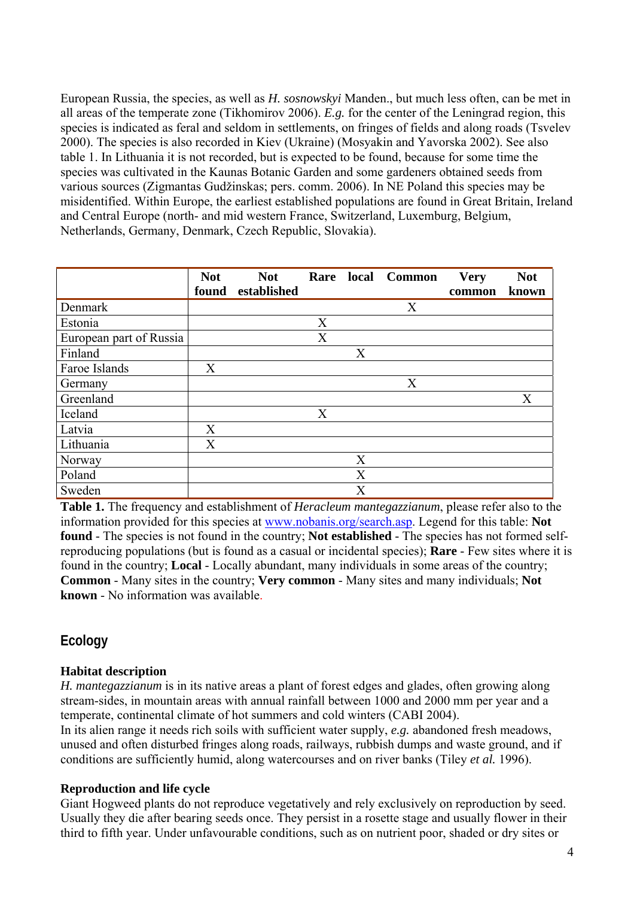European Russia, the species, as well as *H. sosnowskyi* Manden., but much less often, can be met in all areas of the temperate zone (Tikhomirov 2006). *E.g.* for the center of the Leningrad region, this species is indicated as feral and seldom in settlements, on fringes of fields and along roads (Tsvelev 2000). The species is also recorded in Kiev (Ukraine) (Mosyakin and Yavorska 2002). See also table 1. In Lithuania it is not recorded, but is expected to be found, because for some time the species was cultivated in the Kaunas Botanic Garden and some gardeners obtained seeds from various sources (Zigmantas Gudžinskas; pers. comm. 2006). In NE Poland this species may be misidentified. Within Europe, the earliest established populations are found in Great Britain, Ireland and Central Europe (north- and mid western France, Switzerland, Luxemburg, Belgium, Netherlands, Germany, Denmark, Czech Republic, Slovakia).

|                         | <b>Not</b> | <b>Not</b>  |   |                | Rare local Common | <b>Very</b> | <b>Not</b> |
|-------------------------|------------|-------------|---|----------------|-------------------|-------------|------------|
|                         | found      | established |   |                |                   | common      | known      |
| Denmark                 |            |             |   |                | X                 |             |            |
| Estonia                 |            |             | X |                |                   |             |            |
| European part of Russia |            |             | X |                |                   |             |            |
| Finland                 |            |             |   | X              |                   |             |            |
| Faroe Islands           | X          |             |   |                |                   |             |            |
| Germany                 |            |             |   |                | X                 |             |            |
| Greenland               |            |             |   |                |                   |             | X          |
| Iceland                 |            |             | X |                |                   |             |            |
| Latvia                  | X          |             |   |                |                   |             |            |
| Lithuania               | X          |             |   |                |                   |             |            |
| Norway                  |            |             |   | X              |                   |             |            |
| Poland                  |            |             |   | X              |                   |             |            |
| Sweden                  |            |             |   | $\overline{X}$ |                   |             |            |

**Table 1.** The frequency and establishment of *Heracleum mantegazzianum*, please refer also to the information provided for this species at [www.nobanis.org/search.asp.](http://www.nobanis.org/Search.asp) Legend for this table: **Not found** - The species is not found in the country; **Not established** - The species has not formed selfreproducing populations (but is found as a casual or incidental species); **Rare** - Few sites where it is found in the country; **Local** - Locally abundant, many individuals in some areas of the country; **Common** - Many sites in the country; **Very common** - Many sites and many individuals; **Not known** - No information was available.

## **Ecology**

### **Habitat description**

*H. mantegazzianum* is in its native areas a plant of forest edges and glades, often growing along stream-sides, in mountain areas with annual rainfall between 1000 and 2000 mm per year and a temperate, continental climate of hot summers and cold winters (CABI 2004).

In its alien range it needs rich soils with sufficient water supply, *e.g.* abandoned fresh meadows, unused and often disturbed fringes along roads, railways, rubbish dumps and waste ground, and if conditions are sufficiently humid, along watercourses and on river banks (Tiley *et al.* 1996).

#### **Reproduction and life cycle**

Giant Hogweed plants do not reproduce vegetatively and rely exclusively on reproduction by seed. Usually they die after bearing seeds once. They persist in a rosette stage and usually flower in their third to fifth year. Under unfavourable conditions, such as on nutrient poor, shaded or dry sites or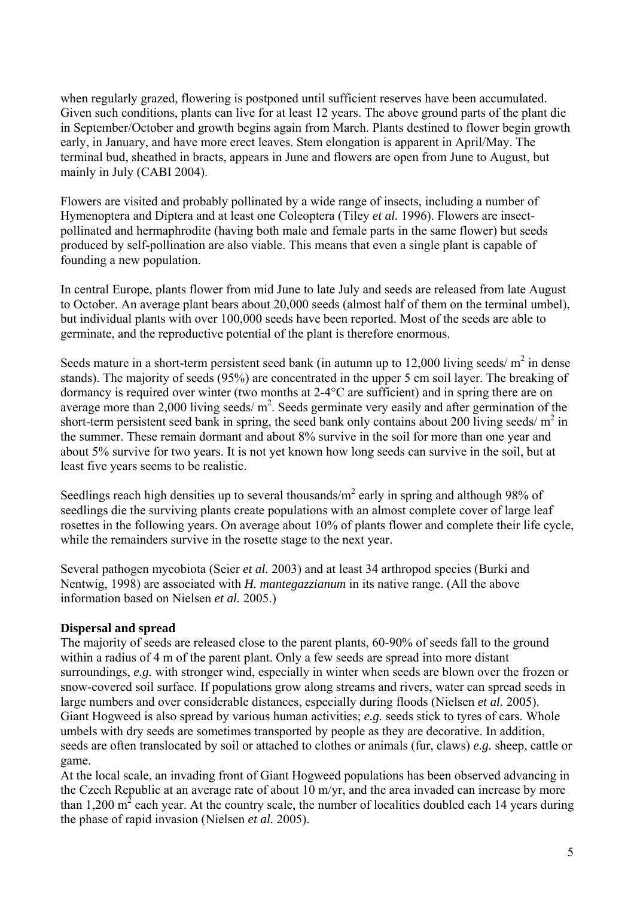when regularly grazed, flowering is postponed until sufficient reserves have been accumulated. Given such conditions, plants can live for at least 12 years. The above ground parts of the plant die in September/October and growth begins again from March. Plants destined to flower begin growth early, in January, and have more erect leaves. Stem elongation is apparent in April/May. The terminal bud, sheathed in bracts, appears in June and flowers are open from June to August, but mainly in July (CABI 2004).

Flowers are visited and probably pollinated by a wide range of insects, including a number of Hymenoptera and Diptera and at least one Coleoptera (Tiley *et al.* 1996). Flowers are insectpollinated and hermaphrodite (having both male and female parts in the same flower) but seeds produced by self-pollination are also viable. This means that even a single plant is capable of founding a new population.

In central Europe, plants flower from mid June to late July and seeds are released from late August to October. An average plant bears about 20,000 seeds (almost half of them on the terminal umbel), but individual plants with over 100,000 seeds have been reported. Most of the seeds are able to germinate, and the reproductive potential of the plant is therefore enormous.

Seeds mature in a short-term persistent seed bank (in autumn up to  $12,000$  living seeds/ $m^2$  in dense stands). The majority of seeds (95%) are concentrated in the upper 5 cm soil layer. The breaking of dormancy is required over winter (two months at 2-4°C are sufficient) and in spring there are on average more than 2,000 living seeds/ $m^2$ . Seeds germinate very easily and after germination of the short-term persistent seed bank in spring, the seed bank only contains about 200 living seeds/ $m^2$  in the summer. These remain dormant and about 8% survive in the soil for more than one year and about 5% survive for two years. It is not yet known how long seeds can survive in the soil, but at least five years seems to be realistic.

Seedlings reach high densities up to several thousands/ $m^2$  early in spring and although 98% of seedlings die the surviving plants create populations with an almost complete cover of large leaf rosettes in the following years. On average about 10% of plants flower and complete their life cycle, while the remainders survive in the rosette stage to the next year.

Several pathogen mycobiota (Seier *et al.* 2003) and at least 34 arthropod species (Burki and Nentwig, 1998) are associated with *H. mantegazzianum* in its native range. (All the above information based on Nielsen *et al.* 2005.)

### **Dispersal and spread**

The majority of seeds are released close to the parent plants, 60-90% of seeds fall to the ground within a radius of 4 m of the parent plant. Only a few seeds are spread into more distant surroundings, *e.g.* with stronger wind, especially in winter when seeds are blown over the frozen or snow-covered soil surface. If populations grow along streams and rivers, water can spread seeds in large numbers and over considerable distances, especially during floods (Nielsen *et al.* 2005). Giant Hogweed is also spread by various human activities; *e.g.* seeds stick to tyres of cars. Whole umbels with dry seeds are sometimes transported by people as they are decorative. In addition, seeds are often translocated by soil or attached to clothes or animals (fur, claws) *e.g.* sheep, cattle or game.

At the local scale, an invading front of Giant Hogweed populations has been observed advancing in the Czech Republic at an average rate of about 10 m/yr, and the area invaded can increase by more than 1,200  $m^2$  each year. At the country scale, the number of localities doubled each 14 years during the phase of rapid invasion (Nielsen *et al.* 2005).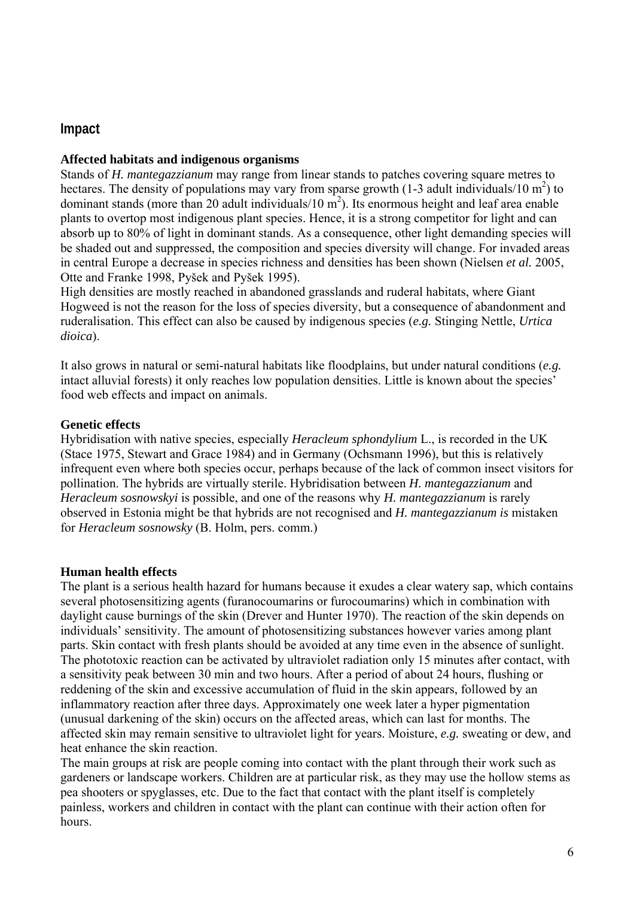## **Impact**

#### **Affected habitats and indigenous organisms**

Stands of *H. mantegazzianum* may range from linear stands to patches covering square metres to hectares. The density of populations may vary from sparse growth (1-3 adult individuals/10 m<sup>2</sup>) to dominant stands (more than 20 adult individuals/10  $\text{m}^2$ ). Its enormous height and leaf area enable plants to overtop most indigenous plant species. Hence, it is a strong competitor for light and can absorb up to 80% of light in dominant stands. As a consequence, other light demanding species will be shaded out and suppressed, the composition and species diversity will change. For invaded areas in central Europe a decrease in species richness and densities has been shown (Nielsen *et al.* 2005, Otte and Franke 1998, Pyšek and Pyšek 1995).

High densities are mostly reached in abandoned grasslands and ruderal habitats, where Giant Hogweed is not the reason for the loss of species diversity, but a consequence of abandonment and ruderalisation. This effect can also be caused by indigenous species (*e.g.* Stinging Nettle, *Urtica dioica*).

It also grows in natural or semi-natural habitats like floodplains, but under natural conditions (*e.g.* intact alluvial forests) it only reaches low population densities. Little is known about the species' food web effects and impact on animals.

#### **Genetic effects**

Hybridisation with native species, especially *Heracleum sphondylium* L., is recorded in the UK (Stace 1975, Stewart and Grace 1984) and in Germany (Ochsmann 1996), but this is relatively infrequent even where both species occur, perhaps because of the lack of common insect visitors for pollination. The hybrids are virtually sterile. Hybridisation between *H. mantegazzianum* and *Heracleum sosnowskyi* is possible, and one of the reasons why *H. mantegazzianum* is rarely observed in Estonia might be that hybrids are not recognised and *H. mantegazzianum is* mistaken for *Heracleum sosnowsky* (B. Holm, pers. comm.)

#### **Human health effects**

The plant is a serious health hazard for humans because it exudes a clear watery sap, which contains several photosensitizing agents (furanocoumarins or furocoumarins) which in combination with daylight cause burnings of the skin (Drever and Hunter 1970). The reaction of the skin depends on individuals' sensitivity. The amount of photosensitizing substances however varies among plant parts. Skin contact with fresh plants should be avoided at any time even in the absence of sunlight. The phototoxic reaction can be activated by ultraviolet radiation only 15 minutes after contact, with a sensitivity peak between 30 min and two hours. After a period of about 24 hours, flushing or reddening of the skin and excessive accumulation of fluid in the skin appears, followed by an inflammatory reaction after three days. Approximately one week later a hyper pigmentation (unusual darkening of the skin) occurs on the affected areas, which can last for months. The affected skin may remain sensitive to ultraviolet light for years. Moisture, *e.g.* sweating or dew, and heat enhance the skin reaction.

The main groups at risk are people coming into contact with the plant through their work such as gardeners or landscape workers. Children are at particular risk, as they may use the hollow stems as pea shooters or spyglasses, etc. Due to the fact that contact with the plant itself is completely painless, workers and children in contact with the plant can continue with their action often for hours.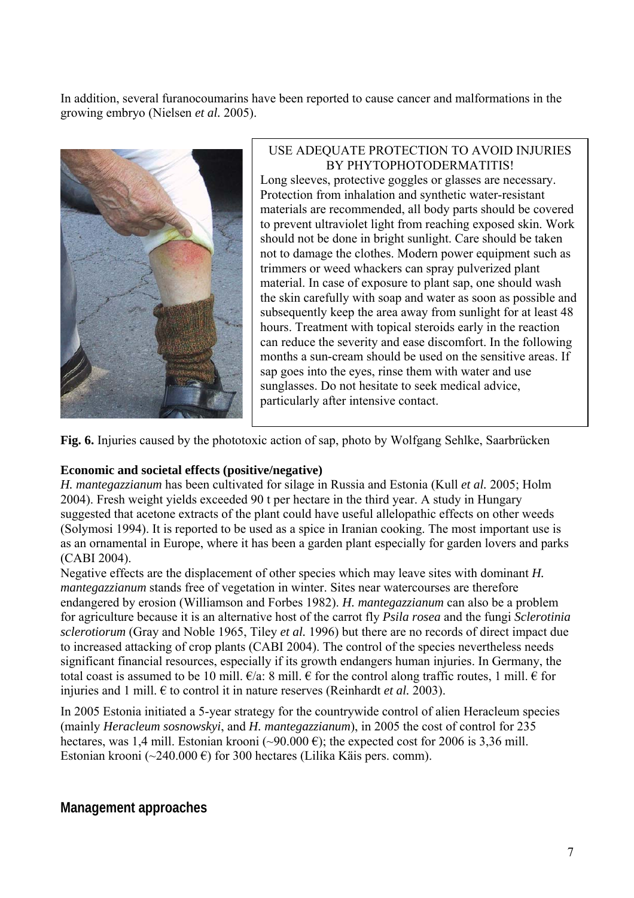In addition, several furanocoumarins have been reported to cause cancer and malformations in the growing embryo (Nielsen *et al.* 2005).



#### USE ADEQUATE PROTECTION TO AVOID INJURIES BY PHYTOPHOTODERMATITIS!

Long sleeves, protective goggles or glasses are necessary. Protection from inhalation and synthetic water-resistant materials are recommended, all body parts should be covered to prevent ultraviolet light from reaching exposed skin. Work should not be done in bright sunlight. Care should be taken not to damage the clothes. Modern power equipment such as trimmers or weed whackers can spray pulverized plant material. In case of exposure to plant sap, one should wash the skin carefully with soap and water as soon as possible and subsequently keep the area away from sunlight for at least 48 hours. Treatment with topical steroids early in the reaction can reduce the severity and ease discomfort. In the following months a sun-cream should be used on the sensitive areas. If sap goes into the eyes, rinse them with water and use sunglasses. Do not hesitate to seek medical advice, particularly after intensive contact.

**Fig. 6.** Injuries caused by the phototoxic action of sap, photo by Wolfgang Sehlke, Saarbrücken

### **Economic and societal effects (positive/negative)**

*H. mantegazzianum* has been cultivated for silage in Russia and Estonia (Kull *et al.* 2005; Holm 2004). Fresh weight yields exceeded 90 t per hectare in the third year. A study in Hungary suggested that acetone extracts of the plant could have useful allelopathic effects on other weeds (Solymosi 1994). It is reported to be used as a spice in Iranian cooking. The most important use is as an ornamental in Europe, where it has been a garden plant especially for garden lovers and parks (CABI 2004).

Negative effects are the displacement of other species which may leave sites with dominant *H. mantegazzianum* stands free of vegetation in winter. Sites near watercourses are therefore endangered by erosion (Williamson and Forbes 1982). *H. mantegazzianum* can also be a problem for agriculture because it is an alternative host of the carrot fly *Psila rosea* and the fungi *Sclerotinia sclerotiorum* (Gray and Noble 1965, Tiley *et al.* 1996) but there are no records of direct impact due to increased attacking of crop plants (CABI 2004). The control of the species nevertheless needs significant financial resources, especially if its growth endangers human injuries. In Germany, the total coast is assumed to be 10 mill.  $\epsilon/a$ : 8 mill.  $\epsilon$  for the control along traffic routes, 1 mill.  $\epsilon$  for injuries and 1 mill.  $\epsilon$  to control it in nature reserves (Reinhardt *et al.* 2003).

In 2005 Estonia initiated a 5-year strategy for the countrywide control of alien Heracleum species (mainly *Heracleum sosnowskyi*, and *H. mantegazzianum*), in 2005 the cost of control for 235 hectares, was 1,4 mill. Estonian krooni (~90.000  $\epsilon$ ); the expected cost for 2006 is 3,36 mill. Estonian krooni (~240.000 €) for 300 hectares (Lilika Käis pers. comm).

## **Management approaches**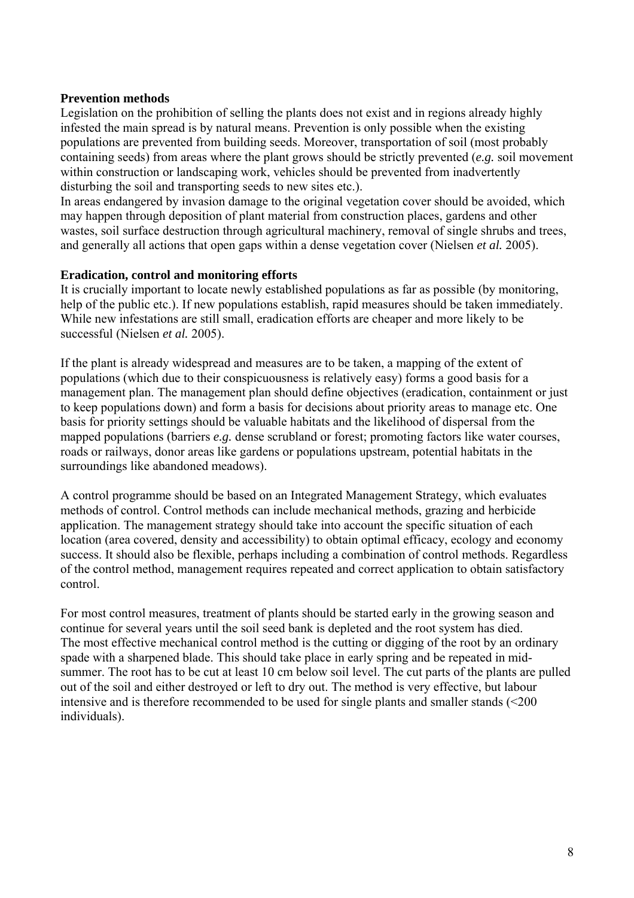#### **Prevention methods**

Legislation on the prohibition of selling the plants does not exist and in regions already highly infested the main spread is by natural means. Prevention is only possible when the existing populations are prevented from building seeds. Moreover, transportation of soil (most probably containing seeds) from areas where the plant grows should be strictly prevented (*e.g.* soil movement within construction or landscaping work, vehicles should be prevented from inadvertently disturbing the soil and transporting seeds to new sites etc.).

In areas endangered by invasion damage to the original vegetation cover should be avoided, which may happen through deposition of plant material from construction places, gardens and other wastes, soil surface destruction through agricultural machinery, removal of single shrubs and trees, and generally all actions that open gaps within a dense vegetation cover (Nielsen *et al.* 2005).

#### **Eradication, control and monitoring efforts**

It is crucially important to locate newly established populations as far as possible (by monitoring, help of the public etc.). If new populations establish, rapid measures should be taken immediately. While new infestations are still small, eradication efforts are cheaper and more likely to be successful (Nielsen *et al.* 2005).

If the plant is already widespread and measures are to be taken, a mapping of the extent of populations (which due to their conspicuousness is relatively easy) forms a good basis for a management plan. The management plan should define objectives (eradication, containment or just to keep populations down) and form a basis for decisions about priority areas to manage etc. One basis for priority settings should be valuable habitats and the [likelihood](http://dict.leo.org/se?lp=ende&p=/Mn4k.&search=likelihood) of dispersal from the mapped populations (barriers *e.g.* dense scrubland or forest; promoting factors like water courses, roads or railways, donor areas like gardens or populations upstream, potential habitats in the surroundings like abandoned meadows).

A control programme should be based on an Integrated Management Strategy, which evaluates methods of control. Control methods can include mechanical methods, grazing and herbicide application. The management strategy should take into account the specific situation of each location (area covered, density and accessibility) to obtain optimal efficacy, ecology and economy success. It should also be flexible, perhaps including a combination of control methods. Regardless of the control method, management requires repeated and correct application to obtain satisfactory control.

For most control measures, treatment of plants should be started early in the growing season and continue for several years until the soil seed bank is depleted and the root system has died. The most effective mechanical control method is the cutting or digging of the root by an ordinary spade with a sharpened blade. This should take place in early spring and be repeated in midsummer. The root has to be cut at least 10 cm below soil level. The cut parts of the plants are pulled out of the soil and either destroyed or left to dry out. The method is very effective, but labour intensive and is therefore recommended to be used for single plants and smaller stands (<200 individuals).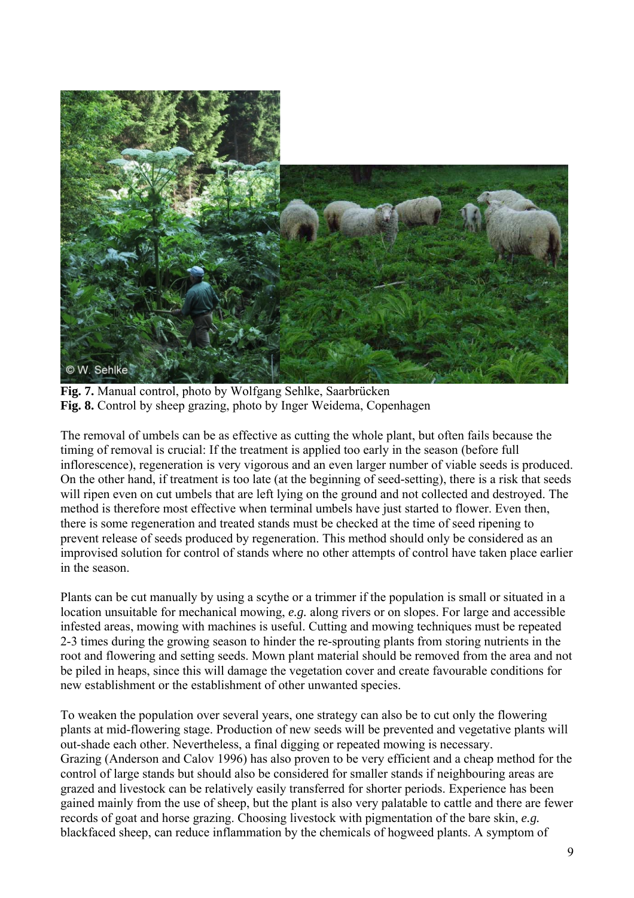

**Fig. 7.** Manual control, photo by Wolfgang Sehlke, Saarbrücken **Fig. 8.** Control by sheep grazing, photo by Inger Weidema, Copenhagen

The removal of umbels can be as effective as cutting the whole plant, but often fails because the timing of removal is crucial: If the treatment is applied too early in the season (before full inflorescence), regeneration is very vigorous and an even larger number of viable seeds is produced. On the other hand, if treatment is too late (at the beginning of seed-setting), there is a risk that seeds will ripen even on cut umbels that are left lying on the ground and not collected and destroyed. The method is therefore most effective when terminal umbels have just started to flower. Even then, there is some regeneration and treated stands must be checked at the time of seed ripening to prevent release of seeds produced by regeneration. This method should only be considered as an improvised solution for control of stands where no other attempts of control have taken place earlier in the season.

Plants can be cut manually by using a scythe or a trimmer if the population is small or situated in a location unsuitable for mechanical mowing, *e.g.* along rivers or on slopes. For large and accessible infested areas, mowing with machines is useful. Cutting and mowing techniques must be repeated 2-3 times during the growing season to hinder the re-sprouting plants from storing nutrients in the root and flowering and setting seeds. Mown plant material should be removed from the area and not be piled in heaps, since this will damage the vegetation cover and create favourable conditions for new establishment or the establishment of other unwanted species.

To weaken the population over several years, one strategy can also be to cut only the flowering plants at mid-flowering stage. Production of new seeds will be prevented and vegetative plants will out-shade each other. Nevertheless, a final digging or repeated mowing is necessary. Grazing (Anderson and Calov 1996) has also proven to be very efficient and a cheap method for the control of large stands but should also be considered for smaller stands if neighbouring areas are grazed and livestock can be relatively easily transferred for shorter periods. Experience has been gained mainly from the use of sheep, but the plant is also very palatable to cattle and there are fewer records of goat and horse grazing. Choosing livestock with pigmentation of the bare skin, *e.g.* blackfaced sheep, can reduce inflammation by the chemicals of hogweed plants. A symptom of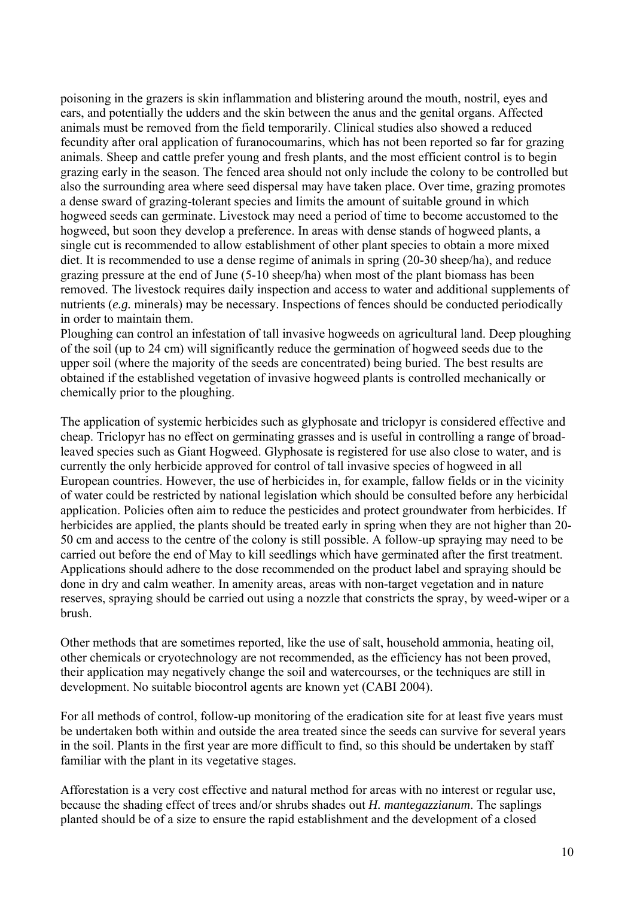poisoning in the grazers is skin inflammation and blistering around the mouth, nostril, eyes and ears, and potentially the udders and the skin between the anus and the genital organs. Affected animals must be removed from the field temporarily. Clinical studies also showed a reduced fecundity after oral application of furanocoumarins, which has not been reported so far for grazing animals. Sheep and cattle prefer young and fresh plants, and the most efficient control is to begin grazing early in the season. The fenced area should not only include the colony to be controlled but also the surrounding area where seed dispersal may have taken place. Over time, grazing promotes a dense sward of grazing-tolerant species and limits the amount of suitable ground in which hogweed seeds can germinate. Livestock may need a period of time to become accustomed to the hogweed, but soon they develop a preference. In areas with dense stands of hogweed plants, a single cut is recommended to allow establishment of other plant species to obtain a more mixed diet. It is recommended to use a dense regime of animals in spring (20-30 sheep/ha), and reduce grazing pressure at the end of June (5-10 sheep/ha) when most of the plant biomass has been removed. The livestock requires daily inspection and access to water and additional supplements of nutrients (*e.g.* minerals) may be necessary. Inspections of fences should be conducted periodically in order to maintain them.

Ploughing can control an infestation of tall invasive hogweeds on agricultural land. Deep ploughing of the soil (up to 24 cm) will significantly reduce the germination of hogweed seeds due to the upper soil (where the majority of the seeds are concentrated) being buried. The best results are obtained if the established vegetation of invasive hogweed plants is controlled mechanically or chemically prior to the ploughing.

The application of systemic herbicides such as glyphosate and triclopyr is considered effective and cheap. Triclopyr has no effect on germinating grasses and is useful in controlling a range of broadleaved species such as Giant Hogweed. Glyphosate is registered for use also close to water, and is currently the only herbicide approved for control of tall invasive species of hogweed in all European countries. However, the use of herbicides in, for example, fallow fields or in the vicinity of water could be restricted by national legislation which should be consulted before any herbicidal application. Policies often aim to reduce the pesticides and protect groundwater from herbicides. If herbicides are applied, the plants should be treated early in spring when they are not higher than 20- 50 cm and access to the centre of the colony is still possible. A follow-up spraying may need to be carried out before the end of May to kill seedlings which have germinated after the first treatment. Applications should adhere to the dose recommended on the product label and spraying should be done in dry and calm weather. In amenity areas, areas with non-target vegetation and in nature reserves, spraying should be carried out using a nozzle that constricts the spray, by weed-wiper or a brush.

Other methods that are sometimes reported, like the use of salt, household ammonia, heating oil, other chemicals or cryotechnology are not recommended, as the efficiency has not been proved, their application may negatively change the soil and watercourses, or the techniques are still in development. No suitable biocontrol agents are known yet (CABI 2004).

For all methods of control, follow-up monitoring of the eradication site for at least five years must be undertaken both within and outside the area treated since the seeds can survive for several years in the soil. Plants in the first year are more difficult to find, so this should be undertaken by staff familiar with the plant in its vegetative stages.

Afforestation is a very cost effective and natural method for areas with no interest or regular use, because the shading effect of trees and/or shrubs shades out *H. mantegazzianum*. The saplings planted should be of a size to ensure the rapid establishment and the development of a closed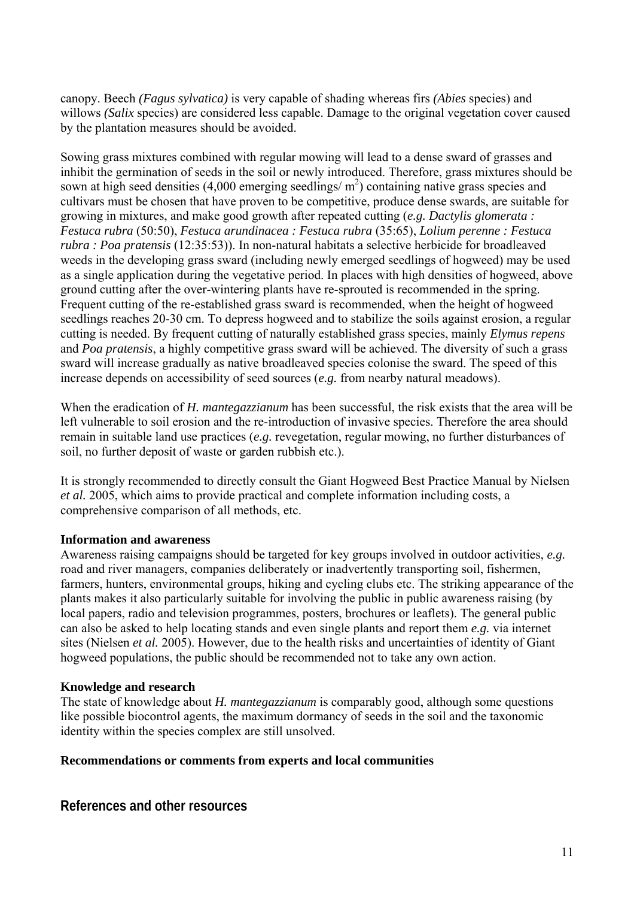canopy. Beech *(Fagus sylvatica)* is very capable of shading whereas firs *(Abies* species) and willows *(Salix* species) are considered less capable. Damage to the original vegetation cover caused by the plantation measures should be avoided.

Sowing grass mixtures combined with regular mowing will lead to a dense sward of grasses and inhibit the germination of seeds in the soil or newly introduced. Therefore, grass mixtures should be sown at high seed densities (4,000 emerging seedlings/ $m<sup>2</sup>$ ) containing native grass species and cultivars must be chosen that have proven to be competitive, produce dense swards, are suitable for growing in mixtures, and make good growth after repeated cutting (*e.g. Dactylis glomerata : Festuca rubra* (50:50), *Festuca arundinacea : Festuca rubra* (35:65), *Lolium perenne : Festuca rubra : Poa pratensis* (12:35:53)). In non-natural habitats a selective herbicide for broadleaved weeds in the developing grass sward (including newly emerged seedlings of hogweed) may be used as a single application during the vegetative period. In places with high densities of hogweed, above ground cutting after the over-wintering plants have re-sprouted is recommended in the spring. Frequent cutting of the re-established grass sward is recommended, when the height of hogweed seedlings reaches 20-30 cm. To depress hogweed and to stabilize the soils against erosion, a regular cutting is needed. By frequent cutting of naturally established grass species, mainly *Elymus repens*  and *Poa pratensis*, a highly competitive grass sward will be achieved. The diversity of such a grass sward will increase gradually as native broadleaved species colonise the sward. The speed of this increase depends on accessibility of seed sources (*e.g.* from nearby natural meadows).

When the eradication of *H. mantegazzianum* has been successful, the risk exists that the area will be left vulnerable to soil erosion and the re-introduction of invasive species. Therefore the area should remain in suitable land use practices (*e.g.* revegetation, regular mowing, no further disturbances of soil, no further deposit of waste or garden rubbish etc.).

It is strongly recommended to directly consult the Giant Hogweed Best Practice Manual by Nielsen *et al.* 2005, which aims to provide practical and complete information including costs, a comprehensive comparison of all methods, etc.

### **Information and awareness**

Awareness raising campaigns should be targeted for key groups involved in outdoor activities, *e.g.* road and river managers, companies deliberately or inadvertently transporting soil, fishermen, farmers, hunters, environmental groups, hiking and cycling clubs etc. The striking appearance of the plants makes it also particularly suitable for involving the public in public awareness raising (by local papers, radio and television programmes, posters, brochures or leaflets). The general public can also be asked to help locating stands and even single plants and report them *e.g.* via internet sites (Nielsen *et al.* 2005). However, due to the health risks and uncertainties of identity of Giant hogweed populations, the public should be recommended not to take any own action.

#### **Knowledge and research**

The state of knowledge about *H. mantegazzianum* is comparably good, although some questions like possible biocontrol agents, the maximum dormancy of seeds in the soil and the taxonomic identity within the species complex are still unsolved.

#### **Recommendations or comments from experts and local communities**

**References and other resources**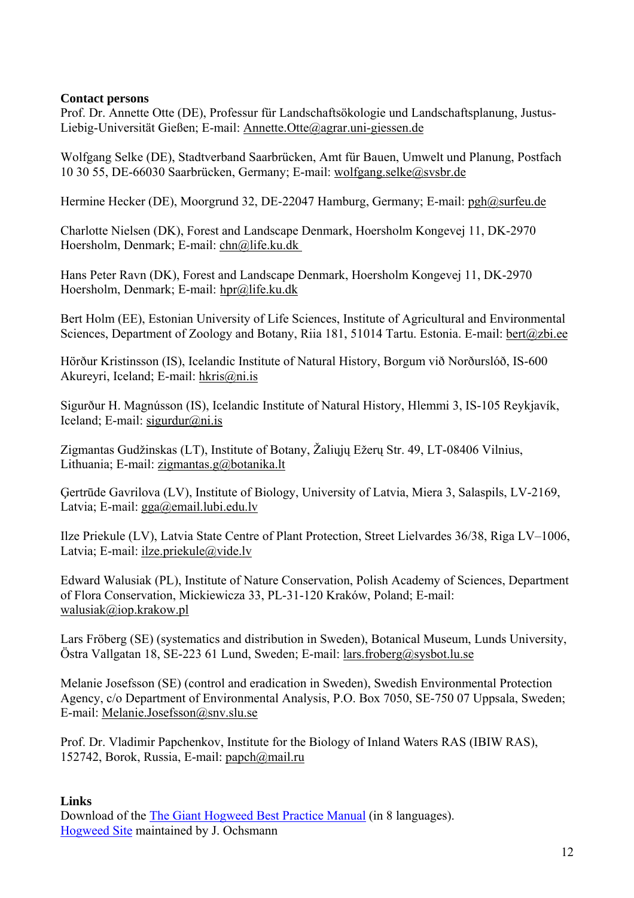### **Contact persons**

Prof. Dr. Annette Otte (DE), Professur für Landschaftsökologie und Landschaftsplanung, Justus-Liebig-Universität Gießen; E-mail: [Annette.Otte@agrar.uni-giessen.de](mailto:Annette.Otte@agrar.uni-giessen.de?subject=Internet-Handbuch%20NeoFlora:%20Heracelum%20mantegazzianum)

Wolfgang Selke (DE), Stadtverband Saarbrücken, Amt für Bauen, Umwelt und Planung, Postfach 10 30 55, DE-66030 Saarbrücken, Germany; E-mail: [wolfgang.selke@svsbr.de](mailto:wolfgang.selke@svsbr.de)

Hermine Hecker (DE), Moorgrund 32, DE-22047 Hamburg, Germany; E-mail: [pgh@surfeu.de](mailto:pgh@surfeu.de?subject=Internet-Handbuch%20Neo-Flora:%20Heracleum%20mantegazzianum)

Charlotte Nielsen (DK), Forest and Landscape Denmark, Hoersholm Kongevej 11, DK-2970 Hoersholm, Denmark; E-mail: [chn@life.ku.dk](mailto:chn@life.ku.dk)

Hans Peter Ravn (DK), Forest and Landscape Denmark, Hoersholm Kongevej 11, DK-2970 Hoersholm, Denmark; E-mail: [hpr@life.ku.dk](mailto:hpr@life.ku.dk) 

Bert Holm (EE), Estonian University of Life Sciences, Institute of Agricultural and Environmental Sciences, Department of Zoology and Botany, Riia 181, 51014 Tartu. Estonia. E-mail: bert@zbi.ee

Hörður Kristinsson (IS), Icelandic Institute of Natural History, Borgum við Norðurslóð, IS-600 Akureyri, Iceland; E-mail: [hkris@ni.is](mailto:hkris@ni.is)

Sigurður H. Magnússon (IS), Icelandic Institute of Natural History, Hlemmi 3, IS-105 Reykjavík, Iceland; E-mail: sigurdur@ni.is

Zigmantas Gudžinskas (LT), Institute of Botany, Žaliųjų Ežerų Str. 49, LT-08406 Vilnius, Lithuania; E-mail: [zigmantas.g@botanika.lt](mailto:zigmantas.g@botanika.lt)

Ģertrūde Gavrilova (LV), Institute of Biology, University of Latvia, Miera 3, Salaspils, LV-2169, Latvia; E-mail: [gga@email.lubi.edu.lv](mailto:gga@email.lubi.edu.lv)

Ilze Priekule (LV), Latvia State Centre of Plant Protection, Street Lielvardes 36/38, Riga LV–1006, Latvia; E-mail: [ilze.priekule@vide.lv](mailto:ilze.priekule@vide.lv)

Edward Walusiak (PL), Institute of Nature Conservation, Polish Academy of Sciences, Department of Flora Conservation, Mickiewicza 33, PL-31-120 Kraków, Poland; E-mail: [walusiak@iop.krakow.pl](mailto:walusiak@iop.krakow.pl)

Lars Fröberg (SE) (systematics and distribution in Sweden), Botanical Museum, Lunds University, Östra Vallgatan 18, SE-223 61 Lund, Sweden; E-mail: [lars.froberg@sysbot.lu.se](mailto:lars.froberg@sysbot.lu.se)

Melanie Josefsson (SE) (control and eradication in Sweden), Swedish Environmental Protection Agency, c/o Department of Environmental Analysis, P.O. Box 7050, SE-750 07 Uppsala, Sweden; E-mail: [Melanie.Josefsson@snv.slu.se](mailto:Melanie.Josefsson@snv.slu.se)

Prof. Dr. Vladimir Papchenkov, Institute for the Biology of Inland Waters RAS (IBIW RAS), 152742, Borok, Russia, E-mail: [papch@mail.ru](mailto:papch@mail.ru) 

### **Links**

Download of the [The Giant Hogweed Best Practice Manual](http://www.giant-alien.dk/) (in 8 languages). [Hogweed Site](http://www.heracleum.net/) maintained by J. Ochsmann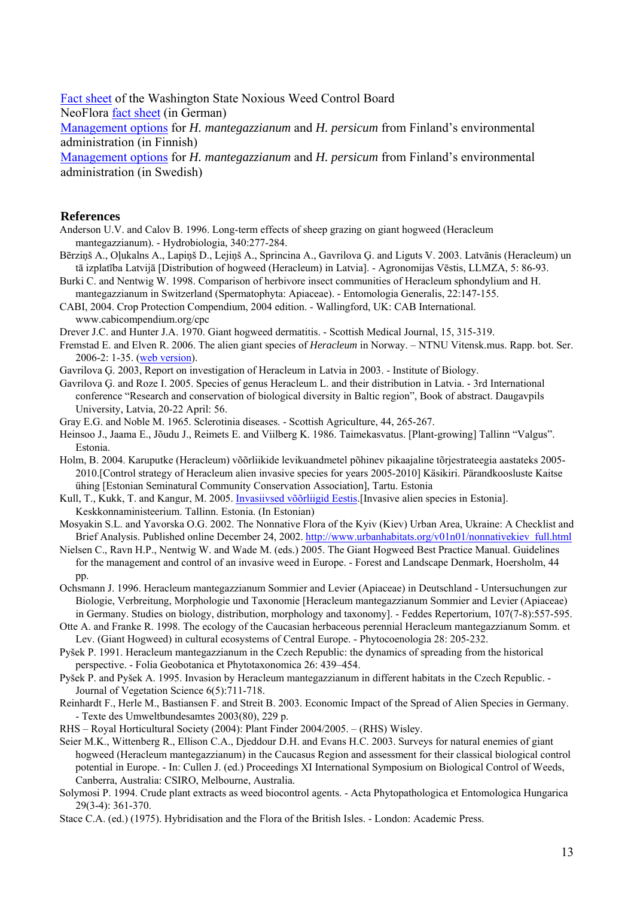[Fact sheet](http://www.nwcb.wa.gov/weed_info/Heracleum_mantegazzianum.html) of the Washington State Noxious Weed Control Board NeoFlora [fact sheet](http://www.floraweb.de/neoflora/handbuch/heracleummantegazzianum.html) (in German) [Management options](http://www.ymparisto.fi/default.asp?node=1730&lan=fi) for *H. mantegazzianum* and *H. persicum* from Finland's environmental administration (in Finnish)

[Management options](http://www.ymparisto.fi/default.asp?contentid=135899&lan=fi&clan=sv) for *H. mantegazzianum* and *H. persicum* from Finland's environmental administration (in Swedish)

#### **References**

Anderson U.V. and Calov B. 1996. Long-term effects of sheep grazing on giant hogweed (Heracleum mantegazzianum). - Hydrobiologia, 340:277-284.

- Bērziņš A., Oļukalns A., Lapiņš D., Lejiņš A., Sprincina A., Gavrilova Ģ. and Liguts V. 2003. Latvānis (Heracleum) un tā izplatība Latvijā [Distribution of hogweed (Heracleum) in Latvia]. - Agronomijas Vēstis, LLMZA, 5: 86-93.
- Burki C. and Nentwig W. 1998. Comparison of herbivore insect communities of Heracleum sphondylium and H.
- mantegazzianum in Switzerland (Spermatophyta: Apiaceae). Entomologia Generalis, 22:147-155. CABI, 2004. Crop Protection Compendium, 2004 edition. - Wallingford, UK: CAB International.

[www.cabicompendium.org/cpc](http://www.cabicompendium.org/cpc)

- Drever J.C. and Hunter J.A. 1970. Giant hogweed dermatitis. Scottish Medical Journal, 15, 315-319.
- Fremstad E. and Elven R. 2006. The alien giant species of *Heracleum* in Norway. NTNU Vitensk.mus. Rapp. bot. Ser. 2006-2: 1-35. [\(web version\)](http://www.ntnu.no/vmuseet/botavd/BotRapp06-2.pdf).
- Gavrilova Ģ. 2003, Report on investigation of Heracleum in Latvia in 2003. Institute of Biology.
- Gavrilova Ģ. and Roze I. 2005. Species of genus Heracleum L. and their distribution in Latvia. 3rd International conference "Research and conservation of biological diversity in Baltic region", Book of abstract. Daugavpils University, Latvia, 20-22 April: 56.
- Gray E.G. and Noble M. 1965. Sclerotinia diseases. Scottish Agriculture, 44, 265-267.
- Heinsoo J., Jaama E., Jõudu J., Reimets E. and Viilberg K. 1986. Taimekasvatus. [Plant-growing] Tallinn "Valgus". Estonia.
- Holm, B. 2004. Karuputke (Heracleum) võõrliikide levikuandmetel põhinev pikaajaline tõrjestrateegia aastateks 2005- 2010.[Control strategy of Heracleum alien invasive species for years 2005-2010] Käsikiri. Pärandkoosluste Kaitse ühing [[Estonian Seminatural Community Conservation Association](http://www.pky.ee/english)], Tartu. Estonia
- Kull, T., Kukk, T. and Kangur, M. 2005. [Invasiivsed võõrliigid Eestis](http://www.envir.ee/89801).[Invasive alien species in Estonia]. Keskkonnaministeerium. Tallinn. Estonia. (In Estonian)
- [Mosyakin S.L. and Yavorska](mailto:flora@ln.ua) O.G. 2002. The Nonnative Flora of the Kyiv (Kiev) Urban Area, Ukraine: A Checklist and Brief Analysis. Published online December 24, 2002. [http://www.urbanhabitats.org/v01n01/nonnativekiev\\_full.html](http://www.urbanhabitats.org/v01n01/nonnativekiev_full.html)
- Nielsen C., Ravn H.P., Nentwig W. and Wade M. (eds.) 2005. The Giant Hogweed Best Practice Manual. Guidelines for the management and control of an invasive weed in Europe. - Forest and Landscape Denmark, Hoersholm, 44 pp.
- Ochsmann J. 1996. Heracleum mantegazzianum Sommier and Levier (Apiaceae) in Deutschland Untersuchungen zur Biologie, Verbreitung, Morphologie und Taxonomie [Heracleum mantegazzianum Sommier and Levier (Apiaceae) in Germany. Studies on biology, distribution, morphology and taxonomy]. - Feddes Repertorium, 107(7-8):557-595.
- Otte A. and Franke R. 1998. The ecology of the Caucasian herbaceous perennial Heracleum mantegazzianum Somm. et Lev. (Giant Hogweed) in cultural ecosystems of Central Europe. - Phytocoenologia 28: 205-232.
- Pyšek P. 1991. Heracleum mantegazzianum in the Czech Republic: the dynamics of spreading from the historical perspective. - Folia Geobotanica et Phytotaxonomica 26: 439–454.
- Pyšek P. and Pyšek A. 1995. Invasion by Heracleum mantegazzianum in different habitats in the Czech Republic. Journal of Vegetation Science 6(5):711-718.
- Reinhardt F., Herle M., Bastiansen F. and Streit B. 2003. Economic Impact of the Spread of Alien Species in Germany. - Texte des Umweltbundesamtes 2003(80), 229 p.

RHS – Royal Horticultural Society (2004): Plant Finder 2004/2005. – (RHS) Wisley.

- Seier M.K., Wittenberg R., Ellison C.A., Djeddour D.H. and Evans H.C. 2003. Surveys for natural enemies of giant hogweed (Heracleum mantegazzianum) in the Caucasus Region and assessment for their classical biological control potential in Europe. - In: Cullen J. (ed.) Proceedings XI International Symposium on Biological Control of Weeds, Canberra, Australia: CSIRO, Melbourne, Australia.
- Solymosi P. 1994. Crude plant extracts as weed biocontrol agents. Acta Phytopathologica et Entomologica Hungarica 29(3-4): 361-370.
- Stace C.A. (ed.) (1975). Hybridisation and the Flora of the British Isles. London: Academic Press.